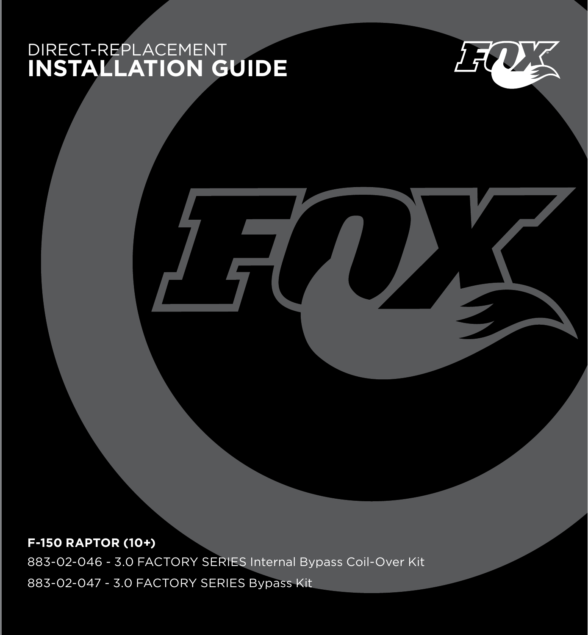# DIRECT-REPLACEMENT **INSTALLATION GUIDE**



**F-150 RAPTOR (10+)** 883-02-046 - 3.0 FACTORY SERIES Internal Bypass Coil-Over Kit

883-02-047 - 3.0 FACTORY SERIES Bypass Kit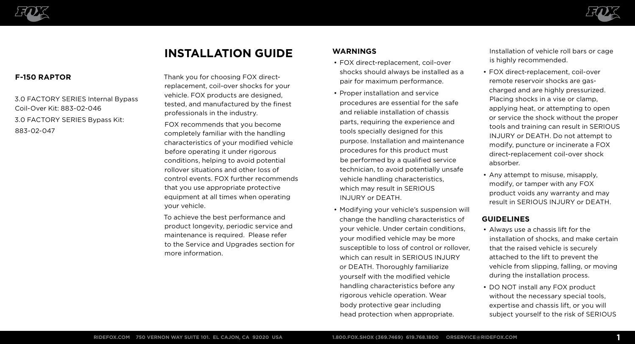



# **INSTALLATION GUIDE**

# **F-150 RAPTOR**

3.0 FACTORY SERIES Internal Bypass Coil-Over Kit: 883-02-046 3.0 FACTORY SERIES Bypass Kit: 883-02-047

Thank you for choosing FOX directreplacement, coil-over shocks for your vehicle. FOX products are designed, tested, and manufactured by the finest professionals in the industry.

FOX recommends that you become completely familiar with the handling characteristics of your modified vehicle before operating it under rigorous conditions, helping to avoid potential rollover situations and other loss of control events. FOX further recommends that you use appropriate protective equipment at all times when operating your vehicle.

To achieve the best performance and product longevity, periodic service and maintenance is required. Please refer to the Service and Upgrades section for more information.

# **WARNINGS**

- FOX direct-replacement, coil-over shocks should always be installed as a pair for maximum performance.
- Proper installation and service procedures are essential for the safe and reliable installation of chassis parts, requiring the experience and tools specially designed for this purpose. Installation and maintenance procedures for this product must be performed by a qualified service technician, to avoid potentially unsafe vehicle handling characteristics, which may result in SERIOUS INJURY or DEATH.
- Modifying your vehicle's suspension will change the handling characteristics of your vehicle. Under certain conditions, your modified vehicle may be more susceptible to loss of control or rollover, which can result in SERIOUS INJURY or DEATH. Thoroughly familiarize yourself with the modified vehicle handling characteristics before any rigorous vehicle operation. Wear body protective gear including head protection when appropriate.

Installation of vehicle roll bars or cage is highly recommended.

- FOX direct-replacement, coil-over remote reservoir shocks are gascharged and are highly pressurized. Placing shocks in a vise or clamp, applying heat, or attempting to open or service the shock without the proper tools and training can result in SERIOUS INJURY or DEATH. Do not attempt to modify, puncture or incinerate a FOX direct-replacement coil-over shock absorber.
- Any attempt to misuse, misapply, modify, or tamper with any FOX product voids any warranty and may result in SERIOUS INJURY or DEATH.

# **GUIDELINES**

- Always use a chassis lift for the installation of shocks, and make certain that the raised vehicle is securely attached to the lift to prevent the vehicle from slipping, falling, or moving during the installation process.
- DO NOT install any FOX product without the necessary special tools. expertise and chassis lift, or you will subject yourself to the risk of SERIOUS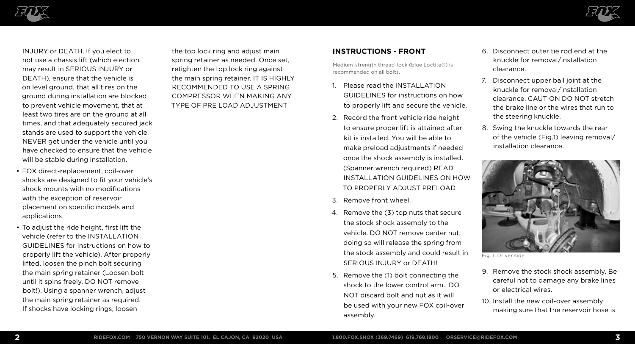

INJURY or DEATH. If you elect to not use a chassis lift (which election may result in SERIOUS INJURY or DEATH), ensure that the vehicle is on level ground, that all tires on the ground during installation are blocked to prevent vehicle movement, that at least two tires are on the ground at all times, and that adequately secured jack stands are used to support the vehicle. NEVER get under the vehicle until you have checked to ensure that the vehicle will be stable during installation.

- FOX direct-replacement, coil-over shocks are designed to fit your vehicle's shock mounts with no modifications with the exception of reservoir placement on specific models and applications.
- To adjust the ride height, first lift the vehicle (refer to the INSTALLATION GUIDELINES for instructions on how to properly lift the vehicle). After properly lifted, loosen the pinch bolt securing the main spring retainer (Loosen bolt until it spins freely, DO NOT remove bolt!). Using a spanner wrench, adjust the main spring retainer as required. If shocks have locking rings, loosen

the top lock ring and adjust main spring retainer as needed. Once set, retighten the top lock ring against the main spring retainer. IT IS HIGHLY RECOMMENDED TO USE A SPRING COMPRESSOR WHEN MAKING ANY TYPE OF PRE LOAD ADJUSTMENT



Medium-strength thread-lock (blue Loctite®) is recommended on all bolts.

- 1. Please read the INSTALLATION GUIDELINES for instructions on how to properly lift and secure the vehicle.
- 2. Record the front vehicle ride height to ensure proper lift is attained after kit is installed. You will be able to make preload adjustments if needed once the shock assembly is installed. (Spanner wrench required) READ INSTALLATION GUIDELINES ON HOW TO PROPERLY ADJUST PRELOAD
- 3. Remove front wheel.
- 4. Remove the (3) top nuts that secure the stock shock assembly to the vehicle. DO NOT remove center nut; doing so will release the spring from the stock assembly and could result in SERIOUS INJURY or DEATH!
- 5. Remove the (1) bolt connecting the shock to the lower control arm. DO NOT discard bolt and nut as it will be used with your new FOX coil-over assembly.
- 6. Disconnect outer tie rod end at the knuckle for removal/installation clearance.
- 7. Disconnect upper ball joint at the knuckle for removal/installation clearance. CAUTION DO NOT stretch the brake line or the wires that run to the steering knuckle.
- 8. Swing the knuckle towards the rear of the vehicle (Fig.1) leaving removal/ installation clearance.



Fig. 1: Driver side

- 9. Remove the stock shock assembly. Be careful not to damage any brake lines or electrical wires.
- 10. Install the new coil-over assembly making sure that the reservoir hose is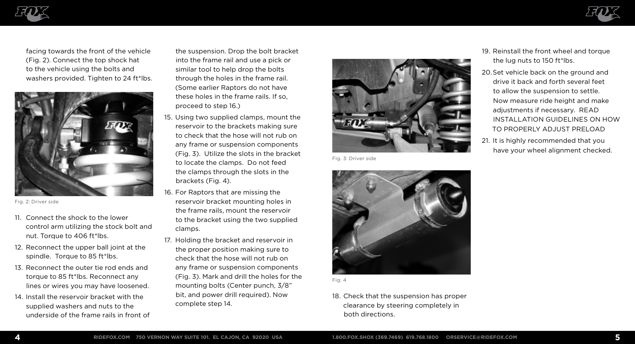



facing towards the front of the vehicle (Fig. 2). Connect the top shock hat to the vehicle using the bolts and washers provided. Tighten to 24 ft\*lbs.



Fig. 2: Driver side

- 11. Connect the shock to the lower control arm utilizing the stock bolt and nut. Torque to 406 ft\*lbs.
- 12. Reconnect the upper ball joint at the spindle. Torque to 85 ft\*lbs.
- 13. Reconnect the outer tie rod ends and torque to 85 ft\*lbs. Reconnect any lines or wires you may have loosened.
- 14. Install the reservoir bracket with the supplied washers and nuts to the underside of the frame rails in front of

the suspension. Drop the bolt bracket into the frame rail and use a pick or similar tool to help drop the bolts through the holes in the frame rail. (Some earlier Raptors do not have these holes in the frame rails. If so, proceed to step 16.)

- 15. Using two supplied clamps, mount the reservoir to the brackets making sure to check that the hose will not rub on any frame or suspension components (Fig. 3). Utilize the slots in the bracket to locate the clamps. Do not feed the clamps through the slots in the brackets (Fig. 4).
- 16. For Raptors that are missing the reservoir bracket mounting holes in the frame rails, mount the reservoir to the bracket using the two supplied clamps.
- 17. Holding the bracket and reservoir in the proper position making sure to check that the hose will not rub on any frame or suspension components (Fig. 3). Mark and drill the holes for the mounting bolts (Center punch, 3/8" bit, and power drill required). Now complete step 14.



Fig. 3: Driver side





18. Check that the suspension has proper clearance by steering completely in both directions.

- 19. Reinstall the front wheel and torque the lug nuts to 150 ft\*lbs.
- 20.Set vehicle back on the ground and drive it back and forth several feet to allow the suspension to settle. Now measure ride height and make adjustments if necessary. READ INSTALLATION GUIDELINES ON HOW TO PROPERLY ADJUST PRELOAD
- 21. It is highly recommended that you have your wheel alignment checked.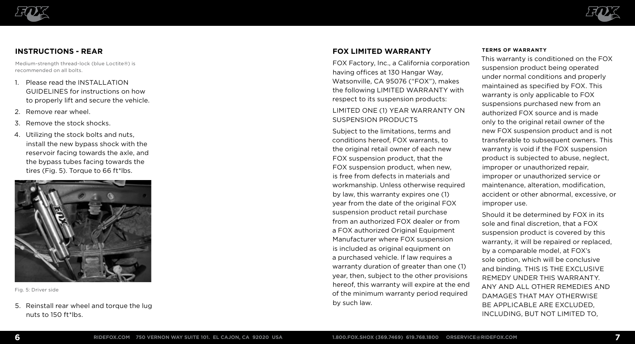



# **INSTRUCTIONS - REAR**

Medium-strength thread-lock (blue Loctite®) is recommended on all bolts.

- 1. Please read the INSTALLATION GUIDELINES for instructions on how to properly lift and secure the vehicle.
- 2. Remove rear wheel.
- 3. Remove the stock shocks.
- 4. Utilizing the stock bolts and nuts, install the new bypass shock with the reservoir facing towards the axle, and the bypass tubes facing towards the tires (Fig. 5). Torque to 66 ft\*lbs.



Fig. 5: Driver side

5. Reinstall rear wheel and torque the lug nuts to 150 ft\*lbs.

# **FOX LIMITED WARRANTY**

FOX Factory, Inc., a California corporation having offices at 130 Hangar Way, Watsonville, CA 95076 ("FOX"), makes the following LIMITED WARRANTY with respect to its suspension products:

# LIMITED ONE (1) YEAR WARRANTY ON SUSPENSION PRODUCTS

Subject to the limitations, terms and conditions hereof, FOX warrants, to the original retail owner of each new FOX suspension product, that the FOX suspension product, when new, is free from defects in materials and workmanship. Unless otherwise required by law, this warranty expires one (1) year from the date of the original FOX suspension product retail purchase from an authorized FOX dealer or from a FOX authorized Original Equipment Manufacturer where FOX suspension is included as original equipment on a purchased vehicle. If law requires a warranty duration of greater than one (1) year, then, subject to the other provisions hereof, this warranty will expire at the end of the minimum warranty period required by such law.

#### **TERMS OF WARRANTY**

This warranty is conditioned on the FOX suspension product being operated under normal conditions and properly maintained as specified by FOX. This warranty is only applicable to FOX suspensions purchased new from an authorized FOX source and is made only to the original retail owner of the new FOX suspension product and is not transferable to subsequent owners. This warranty is void if the FOX suspension product is subjected to abuse, neglect, improper or unauthorized repair, improper or unauthorized service or maintenance, alteration, modification, accident or other abnormal, excessive, or improper use.

Should it be determined by FOX in its sole and final discretion, that a FOX suspension product is covered by this warranty, it will be repaired or replaced, by a comparable model, at FOX's sole option, which will be conclusive and binding. THIS IS THE EXCLUSIVE REMEDY UNDER THIS WARRANTY. ANY AND ALL OTHER REMEDIES AND DAMAGES THAT MAY OTHERWISE BE APPLICABLE ARE EXCLUDED, INCLUDING, BUT NOT LIMITED TO,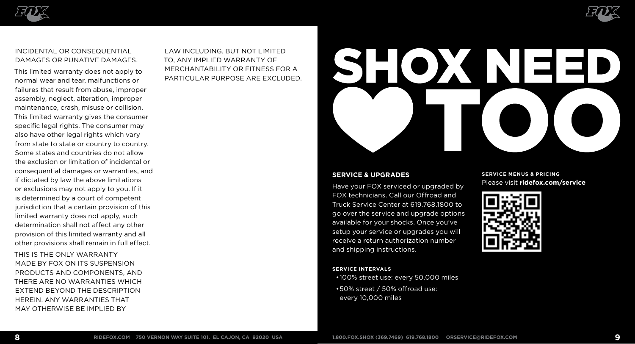



## INCIDENTAL OR CONSEQUENTIAL DAMAGES OR PUNATIVE DAMAGES.

This limited warranty does not apply to normal wear and tear, malfunctions or failures that result from abuse, improper assembly, neglect, alteration, improper maintenance, crash, misuse or collision. This limited warranty gives the consumer specific legal rights. The consumer may also have other legal rights which vary from state to state or country to country. Some states and countries do not allow the exclusion or limitation of incidental or consequential damages or warranties, and if dictated by law the above limitations or exclusions may not apply to you. If it is determined by a court of competent jurisdiction that a certain provision of this limited warranty does not apply, such determination shall not affect any other provision of this limited warranty and all other provisions shall remain in full effect.

THIS IS THE ONLY WARRANTY MADE BY FOX ON ITS SUSPENSION PRODUCTS AND COMPONENTS, AND THERE ARE NO WARRANTIES WHICH EXTEND BEYOND THE DESCRIPTION HEREIN. ANY WARRANTIES THAT MAY OTHERWISE BE IMPLIED BY

LAW INCLUDING, BUT NOT LIMITED TO, ANY IMPLIED WARRANTY OF MERCHANTABILITY OR FITNESS FOR A PARTICULAR PURPOSE ARE EXCLUDED.

# SHOXINE=

## **SERVICE & UPGRADES**

Have your FOX serviced or upgraded by FOX technicians. Call our Offroad and Truck Service Center at 619.768.1800 to go over the service and upgrade options available for your shocks. Once you've setup your service or upgrades you will receive a return authorization number and shipping instructions.

#### **SERVICE INTERVALS**

•100% street use: every 50,000 miles •50% street / 50% offroad use: every 10,000 miles

## **SERVICE MENUS & PRICING** Please visit **ridefox.com/service**